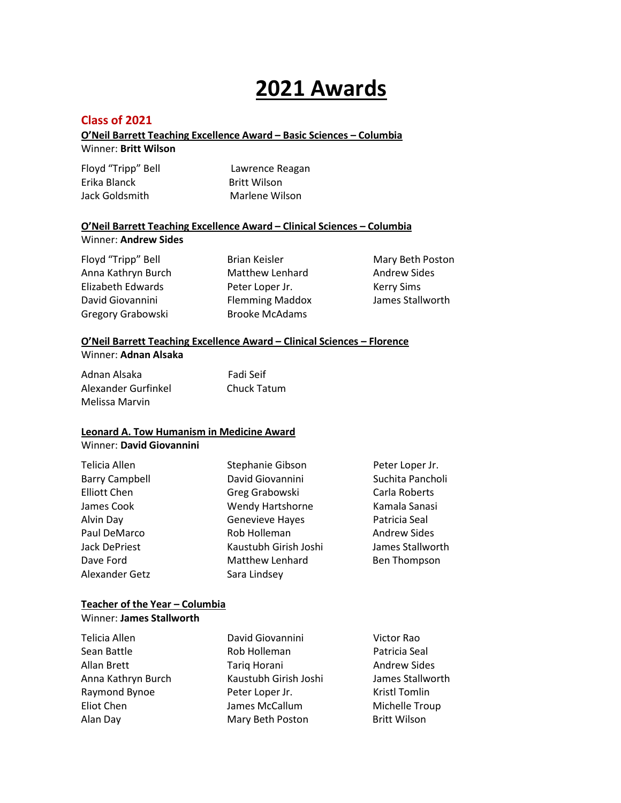#### **Class of 2021**

#### **O'Neil Barrett Teaching Excellence Award – Basic Sciences – Columbia** Winner: **Britt Wilson**

| Floyd "Tripp" Bell | Lawrence Reagan     |
|--------------------|---------------------|
| Erika Blanck       | <b>Britt Wilson</b> |
| Jack Goldsmith     | Marlene Wilson      |

#### **O'Neil Barrett Teaching Excellence Award – Clinical Sciences – Columbia** Winner: **Andrew Sides**

Floyd "Tripp" Bell **Brian Keisler** Mary Beth Poston Anna Kathryn Burch Matthew Lenhard Matthew Sides Elizabeth Edwards **Peter Loper Jr.** Kerry Sims David Giovannini Flemming Maddox James Stallworth Gregory Grabowski Brooke McAdams

# **O'Neil Barrett Teaching Excellence Award – Clinical Sciences – Florence**

#### Winner: **Adnan Alsaka**

Adnan AlsakaFadi Seif Alexander Gurfinkel Chuck Tatum Melissa Marvin

#### **Leonard A. Tow Humanism in Medicine Award**

#### Winner: **David Giovannini**

| Telicia Allen         | Stephanie Gibson        | Peter Loper Jr.     |
|-----------------------|-------------------------|---------------------|
| <b>Barry Campbell</b> | David Giovannini        | Suchita Pancholi    |
| <b>Elliott Chen</b>   | Greg Grabowski          | Carla Roberts       |
| James Cook            | <b>Wendy Hartshorne</b> | Kamala Sanasi       |
| Alvin Day             | Genevieve Hayes         | Patricia Seal       |
| Paul DeMarco          | Rob Holleman            | <b>Andrew Sides</b> |
| Jack DePriest         | Kaustubh Girish Joshi   | James Stallworth    |
| Dave Ford             | <b>Matthew Lenhard</b>  | Ben Thompson        |
| Alexander Getz        | Sara Lindsey            |                     |
|                       |                         |                     |

#### **Teacher of the Year – Columbia** Winner: **James Stallworth**

| David Giovannini      | Victor Rao           |
|-----------------------|----------------------|
| Rob Holleman          | Patricia Seal        |
| Tariq Horani          | <b>Andrew Sides</b>  |
| Kaustubh Girish Joshi | James Stallworth     |
| Peter Loper Jr.       | <b>Kristl Tomlin</b> |
| James McCallum        | Michelle Troup       |
| Mary Beth Poston      | <b>Britt Wilson</b>  |
|                       |                      |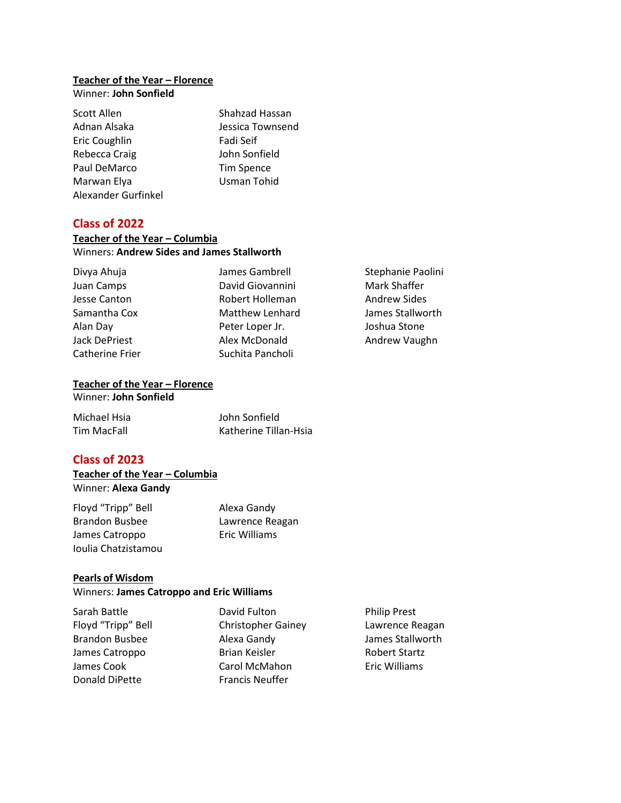### **Teacher of the Year – Florence**

Winner: **John Sonfield**

| Scott Allen         | Shahzad Hassan    |
|---------------------|-------------------|
| Adnan Alsaka        | Jessica Townsend  |
| Eric Coughlin       | Fadi Seif         |
| Rebecca Craig       | John Sonfield     |
| Paul DeMarco        | <b>Tim Spence</b> |
| Marwan Elya         | Usman Tohid       |
| Alexander Gurfinkel |                   |

#### **Class of 2022**

#### **Teacher of the Year – Columbia** Winners: **Andrew Sides and James Stallworth**

| Divya Ahuja          | James Gambrell         | Stephanie Paolini   |
|----------------------|------------------------|---------------------|
| Juan Camps           | David Giovannini       | Mark Shaffer        |
| Jesse Canton         | Robert Holleman        | <b>Andrew Sides</b> |
| Samantha Cox         | <b>Matthew Lenhard</b> | James Stallworth    |
| Alan Day             | Peter Loper Jr.        | Joshua Stone        |
| <b>Jack DePriest</b> | Alex McDonald          | Andrew Vaughn       |
| Catherine Frier      | Suchita Pancholi       |                     |

#### **Teacher of the Year – Florence** Winner: **John Sonfield**

| Michael Hsia | John Sonfield         |
|--------------|-----------------------|
| Tim MacFall  | Katherine Tillan-Hsia |

#### **Class of 2023**

#### **Teacher of the Year – Columbia** Winner: **Alexa Gandy**

| Floyd "Tripp" Bell    | Alexa Gandy     |
|-----------------------|-----------------|
| <b>Brandon Busbee</b> | Lawrence Reagan |
| James Catroppo        | Eric Williams   |
| Joulia Chatzistamou   |                 |

#### **Pearls of Wisdom**

#### Winners: **James Catroppo and Eric Williams**

| Sarah Battle          | David Fulton              | <b>Philip Prest</b>  |
|-----------------------|---------------------------|----------------------|
| Floyd "Tripp" Bell    | <b>Christopher Gainey</b> | Lawrence Reagan      |
| <b>Brandon Busbee</b> | Alexa Gandy               | James Stallworth     |
| James Catroppo        | Brian Keisler             | <b>Robert Startz</b> |
| James Cook            | Carol McMahon             | Eric Williams        |
| Donald DiPette        | <b>Francis Neuffer</b>    |                      |
|                       |                           |                      |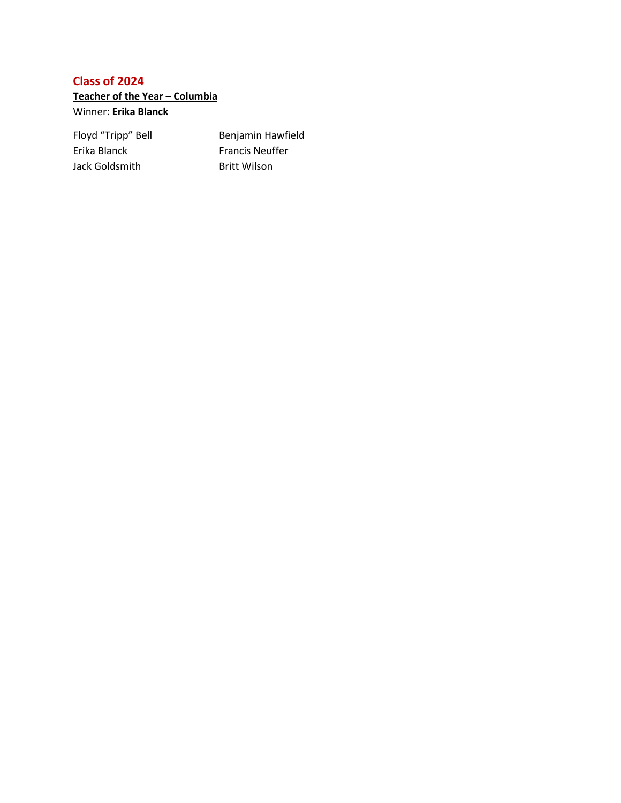**Teacher of the Year – Columbia**

Winner: **Erika Blanck**

Erika Blanck Francis Neuffer Jack Goldsmith Britt Wilson

Floyd "Tripp" Bell Benjamin Hawfield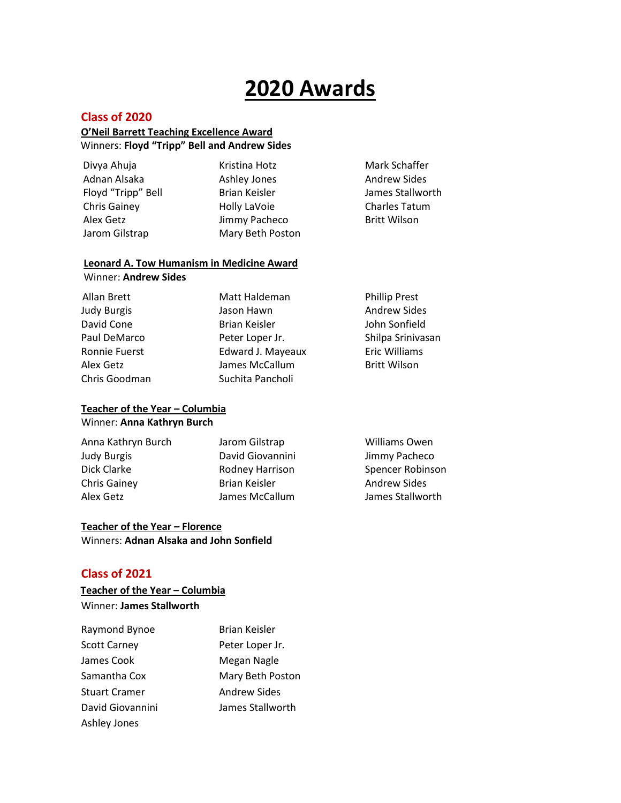#### **Class of 2020**

#### **O'Neil Barrett Teaching Excellence Award** Winners: **Floyd "Tripp" Bell and Andrew Sides**

| Divya Ahuja         | Kristina Hotz    | Mark Schaffer        |
|---------------------|------------------|----------------------|
| Adnan Alsaka        | Ashley Jones     | <b>Andrew Sides</b>  |
| Floyd "Tripp" Bell  | Brian Keisler    | James Stallworth     |
| <b>Chris Gainey</b> | Holly LaVoie     | <b>Charles Tatum</b> |
| Alex Getz           | Jimmy Pacheco    | <b>Britt Wilson</b>  |
| Jarom Gilstrap      | Mary Beth Poston |                      |
|                     |                  |                      |

#### **Leonard A. Tow Humanism in Medicine Award**

Winner: **Andrew Sides**

| Allan Brett   | Matt Haldeman        | <b>Phillip Prest</b> |
|---------------|----------------------|----------------------|
| Judy Burgis   | Jason Hawn           | <b>Andrew Sides</b>  |
| David Cone    | <b>Brian Keisler</b> | John Sonfield        |
| Paul DeMarco  | Peter Loper Jr.      | Shilpa Srinivasan    |
| Ronnie Fuerst | Edward J. Mayeaux    | <b>Eric Williams</b> |
| Alex Getz     | James McCallum       | <b>Britt Wilson</b>  |
| Chris Goodman | Suchita Pancholi     |                      |
|               |                      |                      |

#### **Teacher of the Year – Columbia** Winner: **Anna Kathryn Burch**

| Anna Kathryn Burch  | Jarom Gilstrap   | Williams Owen       |
|---------------------|------------------|---------------------|
| Judy Burgis         | David Giovannini | Jimmy Pacheco       |
| Dick Clarke         | Rodney Harrison  | Spencer Robinson    |
| <b>Chris Gainey</b> | Brian Keisler    | <b>Andrew Sides</b> |
| Alex Getz           | James McCallum   | James Stallworth    |
|                     |                  |                     |

#### **Teacher of the Year – Florence** Winners: **Adnan Alsaka and John Sonfield**

#### **Class of 2021**

 **Teacher of the Year – Columbia**  Winner: **James Stallworth**

| Raymond Bynoe        | <b>Brian Keisler</b> |
|----------------------|----------------------|
| <b>Scott Carney</b>  | Peter Loper Jr.      |
| James Cook           | Megan Nagle          |
| Samantha Cox         | Mary Beth Poston     |
| <b>Stuart Cramer</b> | <b>Andrew Sides</b>  |
| David Giovannini     | James Stallworth     |
| Ashley Jones         |                      |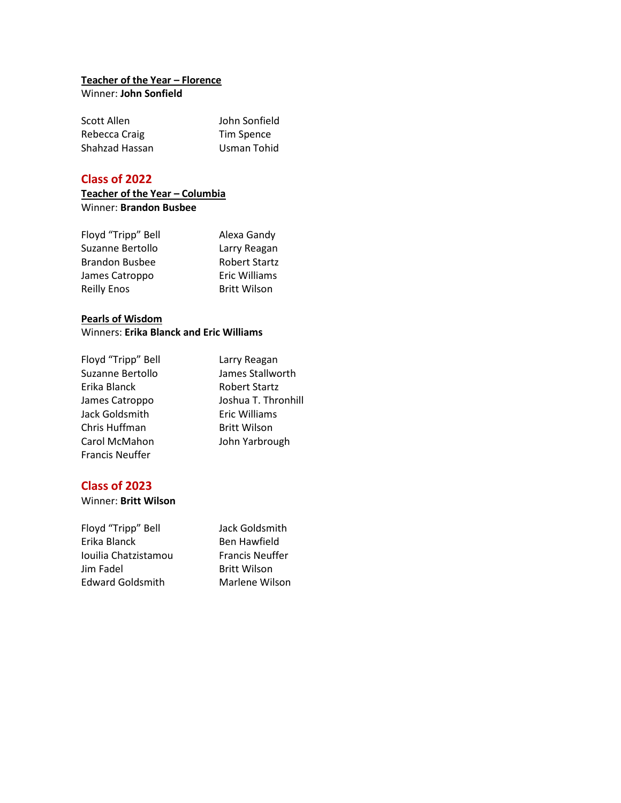#### **Teacher of the Year – Florence** Winner: **John Sonfield**

| Scott Allen    | John Sonfield |
|----------------|---------------|
| Rebecca Craig  | Tim Spence    |
| Shahzad Hassan | Usman Tohid   |

#### **Class of 2022**

#### **Teacher of the Year – Columbia** Winner: **Brandon Busbee**

| Floyd "Tripp" Bell    | Alexa Gandy          |
|-----------------------|----------------------|
| Suzanne Bertollo      | Larry Reagan         |
| <b>Brandon Busbee</b> | <b>Robert Startz</b> |
| James Catroppo        | <b>Eric Williams</b> |
| <b>Reilly Enos</b>    | <b>Britt Wilson</b>  |

#### **Pearls of Wisdom**

#### Winners: **Erika Blanck and Eric Williams**

| Floyd "Tripp" Bell     | Larry Reagan         |
|------------------------|----------------------|
| Suzanne Bertollo       | James Stallworth     |
| Erika Blanck           | <b>Robert Startz</b> |
| James Catroppo         | Joshua T. Thronhill  |
| Jack Goldsmith         | Eric Williams        |
| Chris Huffman          | <b>Britt Wilson</b>  |
| Carol McMahon          | John Yarbrough       |
| <b>Francis Neuffer</b> |                      |

#### **Class of 2023**

#### Winner: **Britt Wilson**

| Floyd "Tripp" Bell      | Jack Goldsmith         |
|-------------------------|------------------------|
| Erika Blanck            | Ben Hawfield           |
| Iouilia Chatzistamou    | <b>Francis Neuffer</b> |
| Jim Fadel               | <b>Britt Wilson</b>    |
| <b>Edward Goldsmith</b> | Marlene Wilson         |
|                         |                        |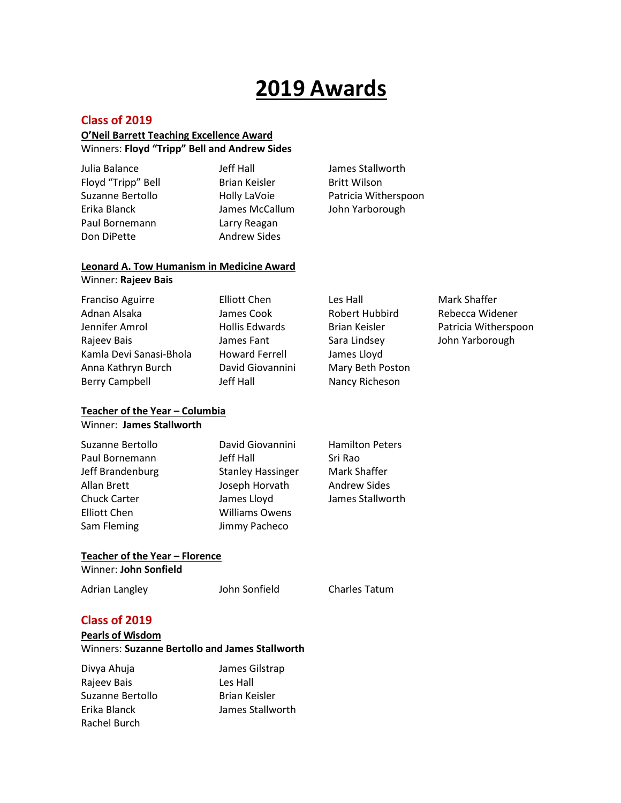#### **Class of 2019**

#### **O'Neil Barrett Teaching Excellence Award** Winners: **Floyd "Tripp" Bell and Andrew Sides**

Julia Balance Jeff Hall James Stallworth Floyd "Tripp" Bell Brian Keisler Britt Wilson Erika Blanck James McCallum John Yarborough Paul Bornemann Larry Reagan Don DiPette Andrew Sides

Suzanne Bertollo **Holly LaVoie** Patricia Witherspoon

#### **Leonard A. Tow Humanism in Medicine Award** Winner: **Rajeev Bais**

| Franciso Aguirre        | <b>Elliott Chen</b>   | Les Hall         | Mark Shaffer         |
|-------------------------|-----------------------|------------------|----------------------|
| Adnan Alsaka            | James Cook            | Robert Hubbird   | Rebecca Widener      |
| Jennifer Amrol          | Hollis Edwards        | Brian Keisler    | Patricia Witherspoon |
| Rajeev Bais             | James Fant            | Sara Lindsey     | John Yarborough      |
| Kamla Devi Sanasi-Bhola | <b>Howard Ferrell</b> | James Lloyd      |                      |
| Anna Kathryn Burch      | David Giovannini      | Mary Beth Poston |                      |
| <b>Berry Campbell</b>   | Jeff Hall             | Nancy Richeson   |                      |
|                         |                       |                  |                      |

### **Teacher of the Year – Columbia**

Winner: **James Stallworth**

| Suzanne Bertollo    | David Giovannini         | <b>Hamilton Peters</b> |
|---------------------|--------------------------|------------------------|
| Paul Bornemann      | Jeff Hall                | Sri Rao                |
| Jeff Brandenburg    | <b>Stanley Hassinger</b> | Mark Shaffer           |
| Allan Brett         | Joseph Horvath           | <b>Andrew Sides</b>    |
| <b>Chuck Carter</b> | James Lloyd              | James Stallworth       |
| <b>Elliott Chen</b> | <b>Williams Owens</b>    |                        |
| Sam Fleming         | Jimmy Pacheco            |                        |
|                     |                          |                        |

### **Teacher of the Year – Florence**

Winner: **John Sonfield**

Adrian Langley **State State State State State State State State State State State State State State State State** 

#### **Class of 2019**

#### **Pearls of Wisdom** Winners: **Suzanne Bertollo and James Stallworth**

| Divya Ahuja      | James Gilstrap       |
|------------------|----------------------|
| Rajeev Bais      | Les Hall             |
| Suzanne Bertollo | <b>Brian Keisler</b> |
| Erika Blanck     | James Stallworth     |
| Rachel Burch     |                      |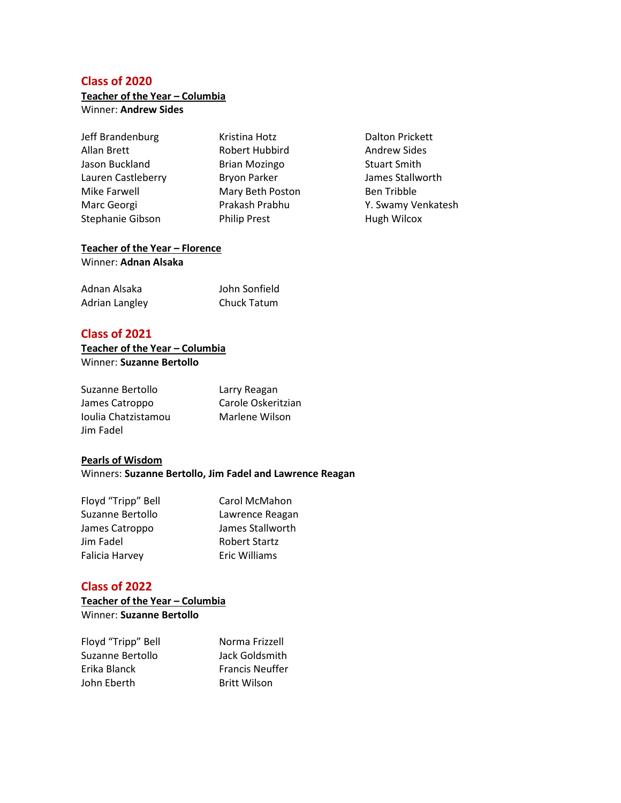**Teacher of the Year – Columbia** Winner: **Andrew Sides**

Jeff Brandenburg Kristina Hotz Dalton Prickett Allan Brett **Robert Hubbird** Andrew Sides Jason Buckland **Brian Mozingo** Stuart Smith Lauren Castleberry **Bryon Parker Bryon Parker** James Stallworth Mike Farwell **Mary Beth Poston** Ben Tribble Stephanie Gibson Philip Prest Hugh Wilcox

Marc Georgi Prakash Prabhu Y. Swamy Venkatesh

#### **Teacher of the Year – Florence** Winner: **Adnan Alsaka**

| Adnan Alsaka   | John Sonfield |
|----------------|---------------|
| Adrian Langley | Chuck Tatum   |

#### **Class of 2021**

#### **Teacher of the Year – Columbia** Winner: **Suzanne Bertollo**

| Suzanne Bertollo    | Larry Reagan       |
|---------------------|--------------------|
| James Catroppo      | Carole Oskeritzian |
| Joulia Chatzistamou | Marlene Wilson     |
| Jim Fadel           |                    |

#### **Pearls of Wisdom**

Winners: **Suzanne Bertollo, Jim Fadel and Lawrence Reagan**

| Floyd "Tripp" Bell | Carol McMahon        |
|--------------------|----------------------|
| Suzanne Bertollo   | Lawrence Reagan      |
| James Catroppo     | James Stallworth     |
| Jim Fadel          | <b>Robert Startz</b> |
| Falicia Harvey     | <b>Eric Williams</b> |

#### **Class of 2022**

**Teacher of the Year – Columbia** Winner: **Suzanne Bertollo**

| Floyd "Tripp" Bell | Norma Frizzell         |
|--------------------|------------------------|
| Suzanne Bertollo   | Jack Goldsmith         |
| Erika Blanck       | <b>Francis Neuffer</b> |
| John Eberth        | <b>Britt Wilson</b>    |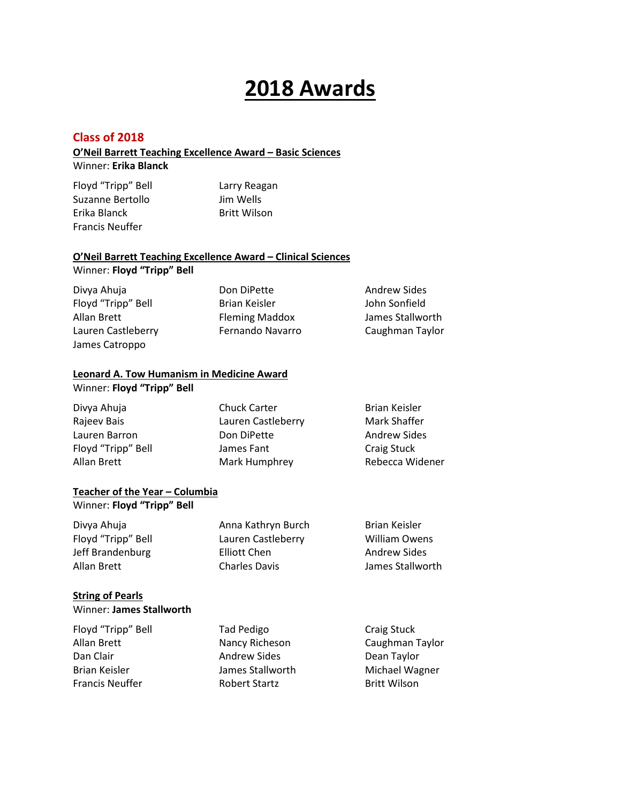#### **Class of 2018**

#### **O'Neil Barrett Teaching Excellence Award – Basic Sciences** Winner: **Erika Blanck**

Floyd "Tripp" Bell Larry Reagan Suzanne Bertollo Jim Wells Erika Blanck Britt Wilson Francis Neuffer

#### **O'Neil Barrett Teaching Excellence Award – Clinical Sciences** Winner: **Floyd "Tripp" Bell**

| Divya Ahuja        | Don DiPette           | <b>Andrew Sides</b> |
|--------------------|-----------------------|---------------------|
| Floyd "Tripp" Bell | Brian Keisler         | John Sonfield       |
| Allan Brett        | <b>Fleming Maddox</b> | James Stallworth    |
| Lauren Castleberry | Fernando Navarro      | Caughman Taylor     |
| James Catroppo     |                       |                     |

#### **Leonard A. Tow Humanism in Medicine Award**

#### Winner: **Floyd "Tripp" Bell**

| Divya Ahuja        | <b>Chuck Carter</b> | Brian Keisler       |
|--------------------|---------------------|---------------------|
| Rajeev Bais        | Lauren Castleberry  | Mark Shaffer        |
| Lauren Barron      | Don DiPette         | <b>Andrew Sides</b> |
| Floyd "Tripp" Bell | James Fant          | Craig Stuck         |
| Allan Brett        | Mark Humphrey       | Rebecca Widener     |

#### **Teacher of the Year – Columbia**

Winner: **Floyd "Tripp" Bell**

| Divya Ahuja        | Anna Kathryn Burch   | Brian Keisler        |
|--------------------|----------------------|----------------------|
| Floyd "Tripp" Bell | Lauren Castleberry   | <b>William Owens</b> |
| Jeff Brandenburg   | Elliott Chen         | Andrew Sides         |
| Allan Brett        | <b>Charles Davis</b> | James Stallworth     |

#### **String of Pearls**

| Winner: James Stallworth |  |
|--------------------------|--|
|--------------------------|--|

| Tad Pedigo           | Craig Stuck         |
|----------------------|---------------------|
| Nancy Richeson       | Caughman Taylor     |
| <b>Andrew Sides</b>  | Dean Taylor         |
| James Stallworth     | Michael Wagner      |
| <b>Robert Startz</b> | <b>Britt Wilson</b> |
|                      |                     |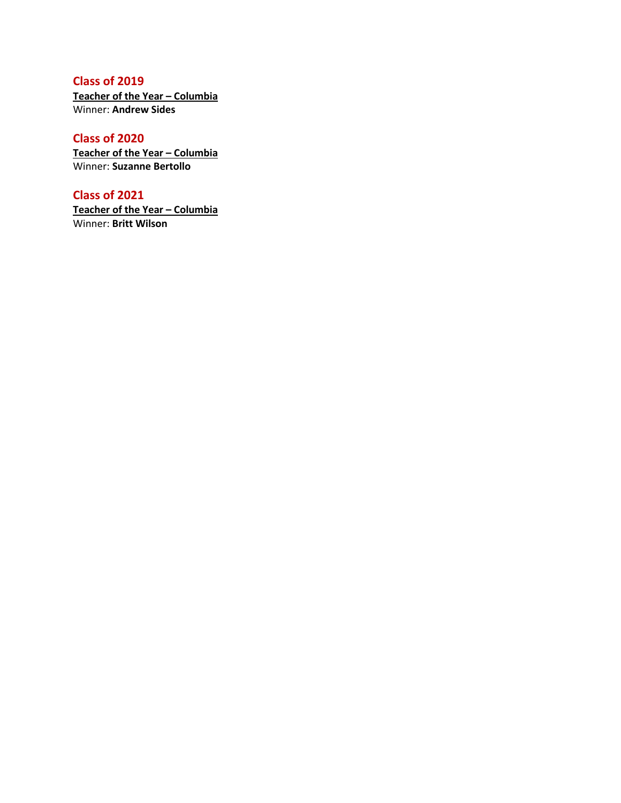**Teacher of the Year – Columbia** Winner: **Andrew Sides**

#### **Class of 2020**

**Teacher of the Year – Columbia** Winner: **Suzanne Bertollo**

#### **Class of 2021**

**Teacher of the Year – Columbia** Winner: **Britt Wilson**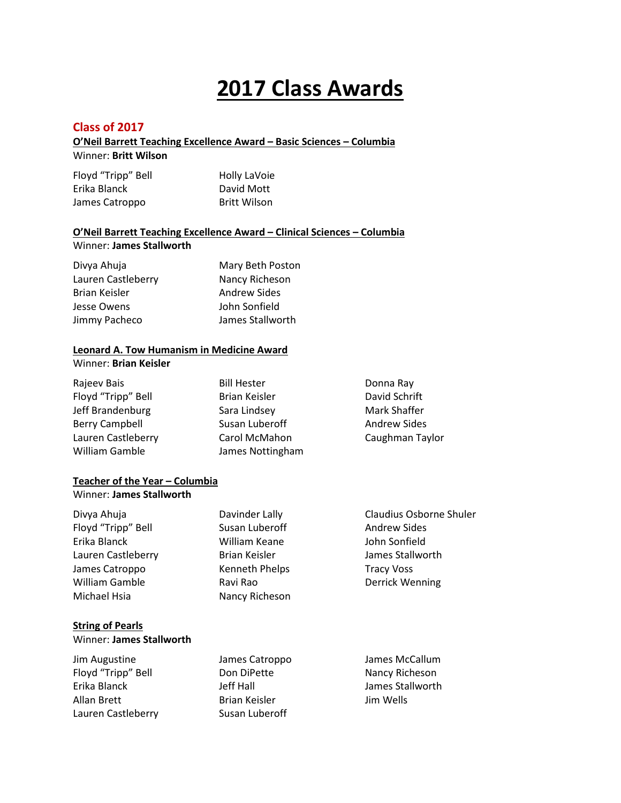# **2017 Class Awards**

#### **Class of 2017**

#### **O'Neil Barrett Teaching Excellence Award – Basic Sciences – Columbia**

Winner: **Britt Wilson**

| Floyd "Tripp" Bell | Holly LaVoie        |
|--------------------|---------------------|
| Erika Blanck       | David Mott          |
| James Catroppo     | <b>Britt Wilson</b> |

## **O'Neil Barrett Teaching Excellence Award – Clinical Sciences – Columbia**

Winner: **James Stallworth**

| Divya Ahuja          | Mary Beth Poston    |
|----------------------|---------------------|
| Lauren Castleberry   | Nancy Richeson      |
| <b>Brian Keisler</b> | <b>Andrew Sides</b> |
| Jesse Owens          | John Sonfield       |
| Jimmy Pacheco        | James Stallworth    |
|                      |                     |

#### **Leonard A. Tow Humanism in Medicine Award**

Winner: **Brian Keisler**

| Rajeev Bais           | <b>Bill Hester</b> | Donna Ray           |
|-----------------------|--------------------|---------------------|
| Floyd "Tripp" Bell    | Brian Keisler      | David Schrift       |
| Jeff Brandenburg      | Sara Lindsey       | Mark Shaffer        |
| <b>Berry Campbell</b> | Susan Luberoff     | <b>Andrew Sides</b> |
| Lauren Castleberry    | Carol McMahon      | Caughman Taylor     |
| William Gamble        | James Nottingham   |                     |

#### **Teacher of the Year – Columbia** Winner: **James Stallworth**

| Davinder Lally       | <b>Claudius Osborne Shuler</b> |
|----------------------|--------------------------------|
| Susan Luberoff       | <b>Andrew Sides</b>            |
| William Keane        | John Sonfield                  |
| <b>Brian Keisler</b> | James Stallworth               |
| Kenneth Phelps       | <b>Tracy Voss</b>              |
| Ravi Rao             | <b>Derrick Wenning</b>         |
| Nancy Richeson       |                                |
|                      |                                |

#### **String of Pearls**

Winner: **James Stallworth**

| Jim Augustine      | James Catroppo       | James McCallum   |
|--------------------|----------------------|------------------|
| Floyd "Tripp" Bell | Don DiPette          | Nancy Richeson   |
| Erika Blanck       | Jeff Hall            | James Stallworth |
| Allan Brett        | <b>Brian Keisler</b> | Jim Wells        |
| Lauren Castleberry | Susan Luberoff       |                  |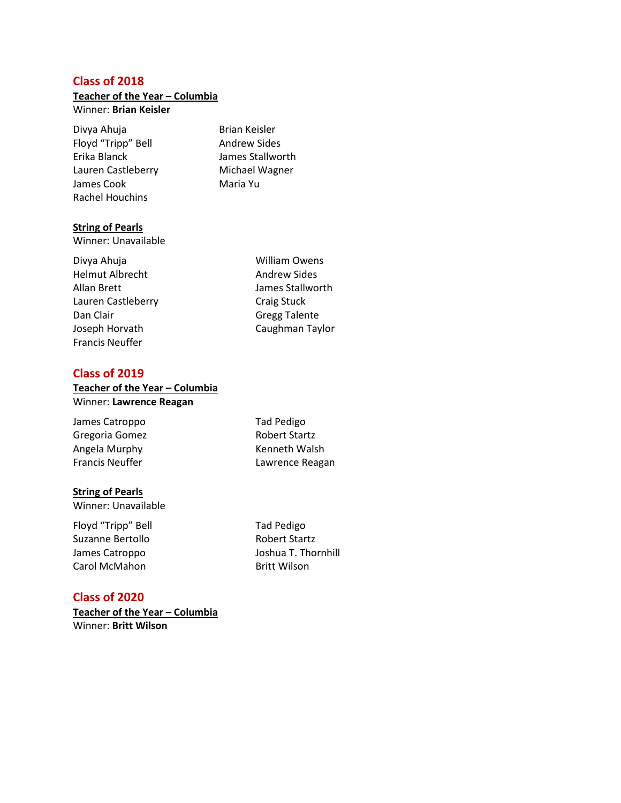### **Teacher of the Year – Columbia**

#### Winner: **Brian Keisler**

Divya Ahuja **Brian Keisler** Floyd "Tripp" Bell Andrew Sides Erika Blanck James Stallworth Lauren Castleberry Michael Wagner James Cook Maria Yu Rachel Houchins

#### **String of Pearls**

Winner: Unavailable

Divya Ahuja **William Owens** Helmut Albrecht **Andrew Sides** Allan Brett **Allan Brett** James Stallworth Lauren Castleberry **Canada Craig Stuck** Dan Clair **Gregg Talente** Joseph Horvath Caughman Taylor Francis Neuffer

#### **Class of 2019**

#### **Teacher of the Year – Columbia** Winner: **Lawrence Reagan**

James Catroppo Tad Pedigo Gregoria Gomez Robert Startz Angela Murphy **Kenneth Walsh** 

#### **String of Pearls**

Winner: Unavailable

Floyd "Tripp" Bell Tad Pedigo Suzanne Bertollo Robert Startz Carol McMahon Britt Wilson

Francis Neuffer **Lawrence Reagan** 

James Catroppo Joshua T. Thornhill

#### **Class of 2020**

**Teacher of the Year – Columbia** Winner: **Britt Wilson**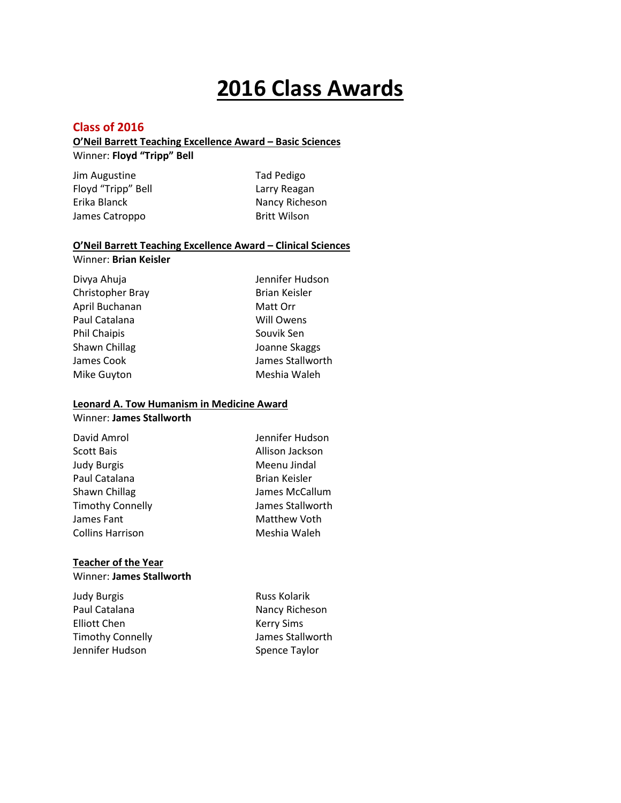# **2016 Class Awards**

#### **Class of 2016**

#### **O'Neil Barrett Teaching Excellence Award – Basic Sciences**

Winner: **Floyd "Tripp" Bell**

Jim Augustine Tad Pedigo Floyd "Tripp" Bell **Larry Reagan** Erika Blanck Nancy Richeson James Catroppo Britt Wilson

#### **O'Neil Barrett Teaching Excellence Award – Clinical Sciences**

Winner: **Brian Keisler**

Divya Ahuja **Jennifer Hudson** Christopher Bray Brian Keisler April Buchanan Matt Orr Paul Catalana Will Owens Phil Chaipis **Souvik Sen** Shawn Chillag **Joanne Skaggs** James Cook James Stallworth Mike Guyton **Meshia Waleh** 

#### **Leonard A. Tow Humanism in Medicine Award** Winner: **James Stallworth**

| David Amrol             | Jennifer Hudson      |
|-------------------------|----------------------|
| <b>Scott Bais</b>       | Allison Jackson      |
| <b>Judy Burgis</b>      | Meenu Jindal         |
| Paul Catalana           | <b>Brian Keisler</b> |
| Shawn Chillag           | James McCallum       |
| <b>Timothy Connelly</b> | James Stallworth     |
| James Fant              | Matthew Voth         |
| <b>Collins Harrison</b> | Meshia Waleh         |
|                         |                      |

#### **Teacher of the Year**  Winner: **James Stallworth**

Judy Burgis **Russ Kolarik** Russ Kolarik Paul Catalana Nancy Richeson Elliott Chen Kerry Sims Timothy Connelly James Stallworth Jennifer Hudson Spence Taylor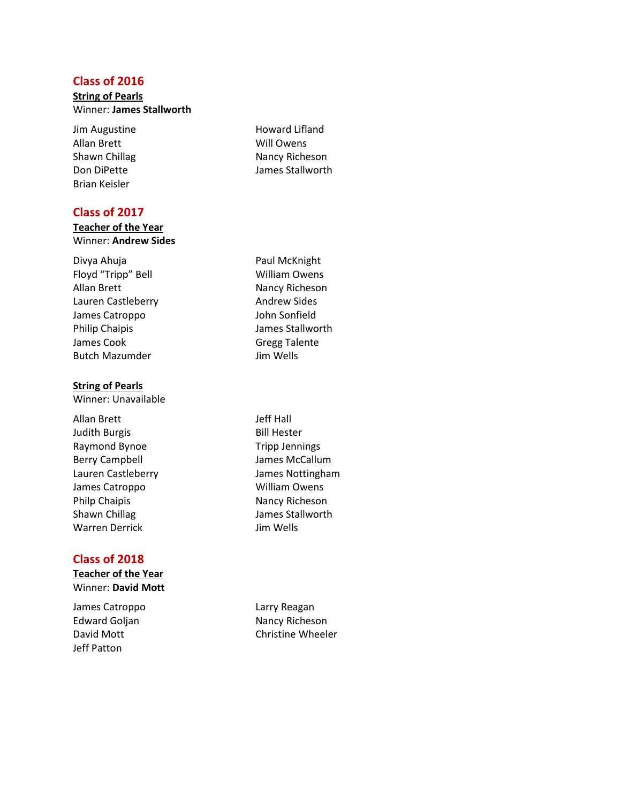#### **String of Pearls** Winner: **James Stallworth**

Jim Augustine **Howard Lifland** Allan Brett Will Owens Brian Keisler

#### **Class of 2017**

#### **Teacher of the Year** Winner: **Andrew Sides**

Divya Ahuja **Paul McKnight** Floyd "Tripp" Bell William Owens Allan Brett Nancy Richeson Lauren Castleberry **Andrew Sides** James Catroppo John Sonfield Philip Chaipis **Matter States** James Stallworth James Cook Gregg Talente Butch Mazumder **Jim Wells** 

#### **String of Pearls**

Winner: Unavailable

Allan Brett Jeff Hall Judith Burgis **Bill Hester** Raymond Bynoe Tripp Jennings Berry Campbell **Accord Entity Campbell** James McCallum Lauren Castleberry James Nottingham James Catroppo William Owens Philp Chaipis Nancy Richeson Shawn Chillag Shawn Chillag James Stallworth Warren Derrick **In The Medis** Jim Wells

#### **Class of 2018**

**Teacher of the Year**  Winner: **David Mott**

James Catroppo **Larry Reagan** Jeff Patton

Shawn Chillag Nancy Richeson Don DiPette James Stallworth

Edward Goljan Nancy Richeson David Mott **Christine Wheeler**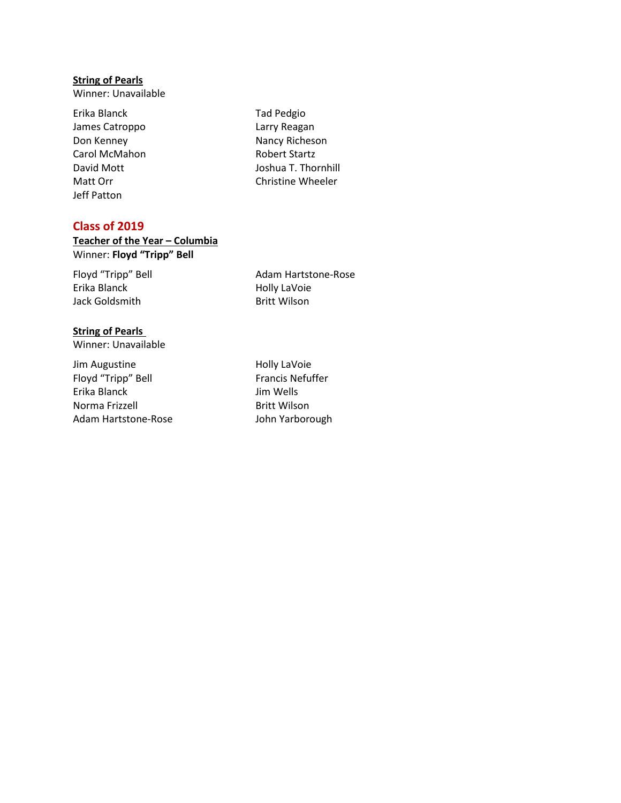#### **String of Pearls**

Winner: Unavailable

- Erika Blanck Tad Pedgio James Catroppo **Larry Reagan** Don Kenney Nancy Richeson Carol McMahon Robert Startz Jeff Patton
- David Mott **David Mott** Joshua T. Thornhill Matt Orr **Christine Wheeler**

#### **Class of 2019**

#### **Teacher of the Year – Columbia**  Winner: **Floyd "Tripp" Bell**

Erika Blanck **Holly LaVoie** Jack Goldsmith Britt Wilson

Floyd "Tripp" Bell Adam Hartstone-Rose

#### **String of Pearls** Winner: Unavailable

Jim Augustine **Holly Lavoie** Floyd "Tripp" Bell Francis Nefuffer Erika Blanck Jim Wells Norma Frizzell Britt Wilson Adam Hartstone-Rose John Yarborough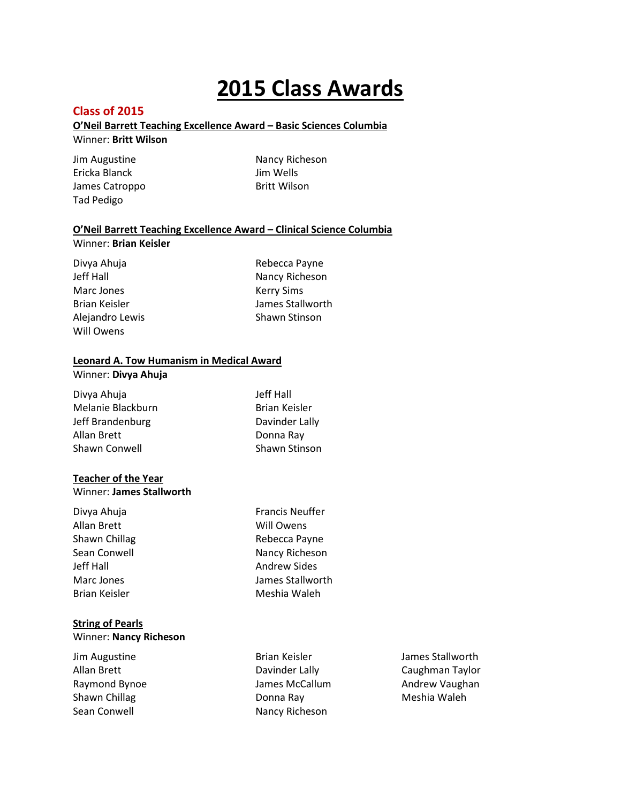# **2015 Class Awards**

#### **Class of 2015**

#### **O'Neil Barrett Teaching Excellence Award – Basic Sciences Columbia**

#### Winner: **Britt Wilson**

Jim Augustine Nancy Richeson Ericka Blanck Jim Wells James Catroppo Britt Wilson Tad Pedigo

#### **O'Neil Barrett Teaching Excellence Award – Clinical Science Columbia**

#### Winner: **Brian Keisler**

Divya Ahuja **Rebecca Payne** Marc Jones **Kerry Sims** Will Owens

Jeff Hall Nancy Richeson Brian Keisler **James Stallworth** Alejandro Lewis Shawn Stinson

#### **Leonard A. Tow Humanism in Medical Award**

#### Winner: **Divya Ahuja**

| Divya Ahuja       | Jeff Hall            |
|-------------------|----------------------|
| Melanie Blackburn | <b>Brian Keisler</b> |
| Jeff Brandenburg  | Davinder Lally       |
| Allan Brett       | Donna Ray            |
| Shawn Conwell     | Shawn Stinson        |

#### **Teacher of the Year**

#### Winner: **James Stallworth**

| Divya Ahuja   | <b>Francis Neuffer</b> |
|---------------|------------------------|
| Allan Brett   | Will Owens             |
| Shawn Chillag | Rebecca Payne          |
| Sean Conwell  | Nancy Richeson         |
| Jeff Hall     | <b>Andrew Sides</b>    |
| Marc Jones    | James Stallworth       |
| Brian Keisler | Meshia Waleh           |
|               |                        |

#### **String of Pearls**

#### Winner: **Nancy Richeson**

| Jim Augustine |  |
|---------------|--|
| Allan Brett   |  |
| Raymond Bynoe |  |
| Shawn Chillag |  |
| Sean Conwell  |  |

Donna Ray **Meshia Waleh** Nancy Richeson

Brian Keisler **James Stallworth** Davinder Lally **Caughman Taylor** James McCallum Andrew Vaughan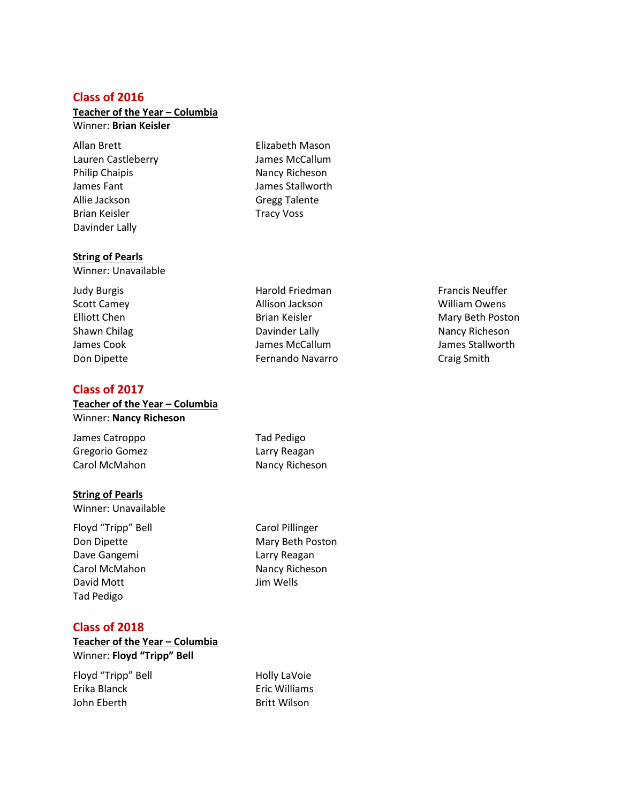#### **Teacher of the Year – Columbia**

Winner: **Brian Keisler**

Allan Brett Elizabeth Mason Lauren Castleberry James McCallum Philip Chaipis Nancy Richeson James Fant James Stallworth Allie Jackson Gregg Talente Brian Keisler National Contract Contract Tracy Voss Davinder Lally

**String of Pearls**

Winner: Unavailable

#### **Class of 2017**

**Teacher of the Year – Columbia**  Winner: **Nancy Richeson**

James Catroppo Tad Pedigo Gregorio Gomez **Larry Reagan** Carol McMahon Nancy Richeson

#### **String of Pearls**

Winner: Unavailable

Floyd "Tripp" Bell Carol Pillinger Dave Gangemi **Larry Reagan** Carol McMahon Nancy Richeson David Mott **David Mott Jim Wells** Tad Pedigo

#### **Class of 2018**

#### **Teacher of the Year – Columbia** Winner: **Floyd "Tripp" Bell**

Floyd "Tripp" Bell Holly LaVoie Erika Blanck Eric Williams John Eberth **Britt Wilson** 

Judy Burgis **Harold Friedman** Francis Neuffer **Harold Friedman** Scott Camey **Allison Jackson** Allison Jackson **William Owens** Elliott Chen **Brian Keisler** Mary Beth Poston Brian Keisler Shawn Chilag **Nancy Richeson** Davinder Lally Nancy Richeson James Cook James McCallum James Stallworth Don Dipette Fernando Navarro Craig Smith

Don Dipette Mary Beth Poston